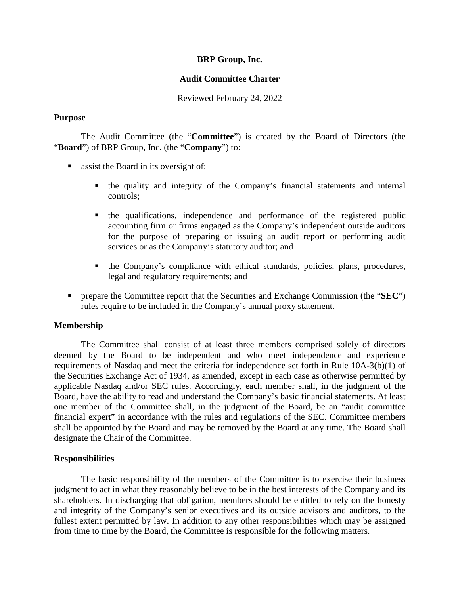#### **BRP Group, Inc.**

#### **Audit Committee Charter**

Reviewed February 24, 2022

#### **Purpose**

The Audit Committee (the "**Committee**") is created by the Board of Directors (the "**Board**") of BRP Group, Inc. (the "**Company**") to:

- stand in its oversight of:
	- the quality and integrity of the Company's financial statements and internal controls;
	- the qualifications, independence and performance of the registered public accounting firm or firms engaged as the Company's independent outside auditors for the purpose of preparing or issuing an audit report or performing audit services or as the Company's statutory auditor; and
	- the Company's compliance with ethical standards, policies, plans, procedures, legal and regulatory requirements; and
- **PEDE** prepare the Committee report that the Securities and Exchange Commission (the "**SEC**") rules require to be included in the Company's annual proxy statement.

### **Membership**

The Committee shall consist of at least three members comprised solely of directors deemed by the Board to be independent and who meet independence and experience requirements of Nasdaq and meet the criteria for independence set forth in Rule 10A-3(b)(1) of the Securities Exchange Act of 1934, as amended, except in each case as otherwise permitted by applicable Nasdaq and/or SEC rules. Accordingly, each member shall, in the judgment of the Board, have the ability to read and understand the Company's basic financial statements. At least one member of the Committee shall, in the judgment of the Board, be an "audit committee financial expert" in accordance with the rules and regulations of the SEC. Committee members shall be appointed by the Board and may be removed by the Board at any time. The Board shall designate the Chair of the Committee.

## **Responsibilities**

The basic responsibility of the members of the Committee is to exercise their business judgment to act in what they reasonably believe to be in the best interests of the Company and its shareholders. In discharging that obligation, members should be entitled to rely on the honesty and integrity of the Company's senior executives and its outside advisors and auditors, to the fullest extent permitted by law. In addition to any other responsibilities which may be assigned from time to time by the Board, the Committee is responsible for the following matters.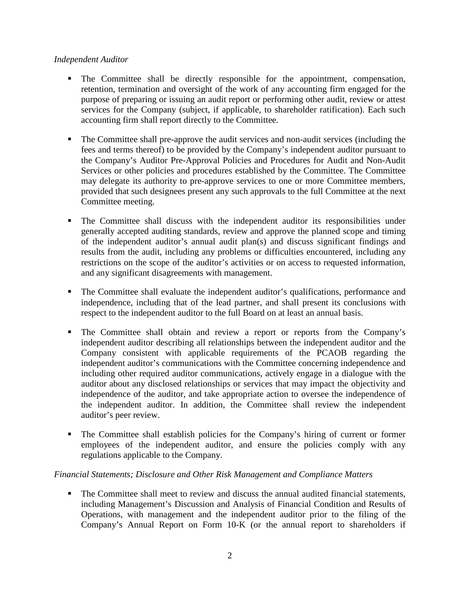## *Independent Auditor*

- The Committee shall be directly responsible for the appointment, compensation, retention, termination and oversight of the work of any accounting firm engaged for the purpose of preparing or issuing an audit report or performing other audit, review or attest services for the Company (subject, if applicable, to shareholder ratification). Each such accounting firm shall report directly to the Committee.
- The Committee shall pre-approve the audit services and non-audit services (including the fees and terms thereof) to be provided by the Company's independent auditor pursuant to the Company's Auditor Pre-Approval Policies and Procedures for Audit and Non-Audit Services or other policies and procedures established by the Committee. The Committee may delegate its authority to pre-approve services to one or more Committee members, provided that such designees present any such approvals to the full Committee at the next Committee meeting.
- The Committee shall discuss with the independent auditor its responsibilities under generally accepted auditing standards, review and approve the planned scope and timing of the independent auditor's annual audit plan(s) and discuss significant findings and results from the audit, including any problems or difficulties encountered, including any restrictions on the scope of the auditor's activities or on access to requested information, and any significant disagreements with management.
- The Committee shall evaluate the independent auditor's qualifications, performance and independence, including that of the lead partner, and shall present its conclusions with respect to the independent auditor to the full Board on at least an annual basis.
- The Committee shall obtain and review a report or reports from the Company's independent auditor describing all relationships between the independent auditor and the Company consistent with applicable requirements of the PCAOB regarding the independent auditor's communications with the Committee concerning independence and including other required auditor communications, actively engage in a dialogue with the auditor about any disclosed relationships or services that may impact the objectivity and independence of the auditor, and take appropriate action to oversee the independence of the independent auditor. In addition, the Committee shall review the independent auditor's peer review.
- The Committee shall establish policies for the Company's hiring of current or former employees of the independent auditor, and ensure the policies comply with any regulations applicable to the Company.

# *Financial Statements; Disclosure and Other Risk Management and Compliance Matters*

 The Committee shall meet to review and discuss the annual audited financial statements, including Management's Discussion and Analysis of Financial Condition and Results of Operations, with management and the independent auditor prior to the filing of the Company's Annual Report on Form 10-K (or the annual report to shareholders if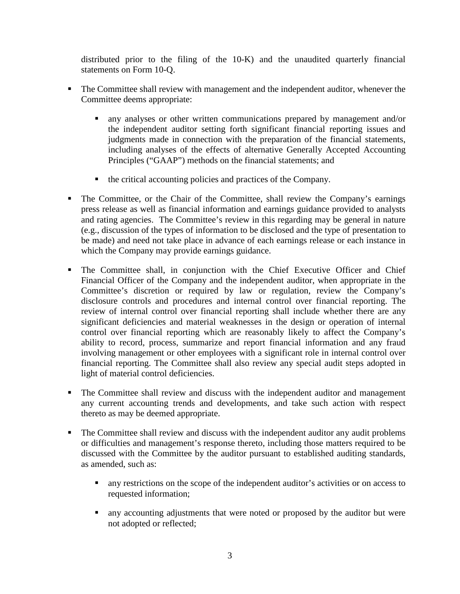distributed prior to the filing of the 10-K) and the unaudited quarterly financial statements on Form 10-Q.

- The Committee shall review with management and the independent auditor, whenever the Committee deems appropriate:
	- any analyses or other written communications prepared by management and/or the independent auditor setting forth significant financial reporting issues and judgments made in connection with the preparation of the financial statements, including analyses of the effects of alternative Generally Accepted Accounting Principles ("GAAP") methods on the financial statements; and
	- $\blacksquare$  the critical accounting policies and practices of the Company.
- The Committee, or the Chair of the Committee, shall review the Company's earnings press release as well as financial information and earnings guidance provided to analysts and rating agencies. The Committee's review in this regarding may be general in nature (e.g., discussion of the types of information to be disclosed and the type of presentation to be made) and need not take place in advance of each earnings release or each instance in which the Company may provide earnings guidance.
- The Committee shall, in conjunction with the Chief Executive Officer and Chief Financial Officer of the Company and the independent auditor, when appropriate in the Committee's discretion or required by law or regulation, review the Company's disclosure controls and procedures and internal control over financial reporting. The review of internal control over financial reporting shall include whether there are any significant deficiencies and material weaknesses in the design or operation of internal control over financial reporting which are reasonably likely to affect the Company's ability to record, process, summarize and report financial information and any fraud involving management or other employees with a significant role in internal control over financial reporting. The Committee shall also review any special audit steps adopted in light of material control deficiencies.
- The Committee shall review and discuss with the independent auditor and management any current accounting trends and developments, and take such action with respect thereto as may be deemed appropriate.
- The Committee shall review and discuss with the independent auditor any audit problems or difficulties and management's response thereto, including those matters required to be discussed with the Committee by the auditor pursuant to established auditing standards, as amended, such as:
	- any restrictions on the scope of the independent auditor's activities or on access to requested information;
	- any accounting adjustments that were noted or proposed by the auditor but were not adopted or reflected;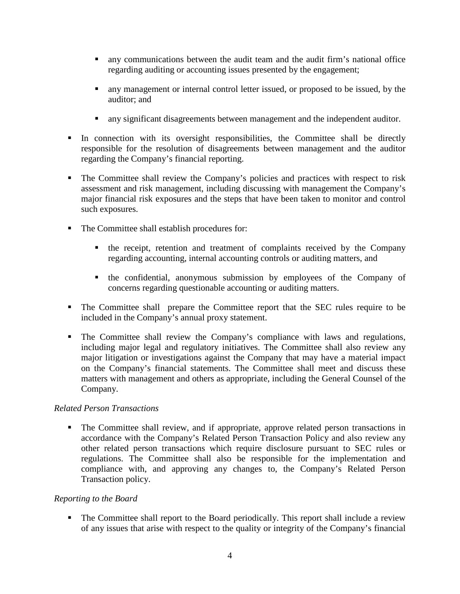- any communications between the audit team and the audit firm's national office regarding auditing or accounting issues presented by the engagement;
- any management or internal control letter issued, or proposed to be issued, by the auditor; and
- any significant disagreements between management and the independent auditor.
- In connection with its oversight responsibilities, the Committee shall be directly responsible for the resolution of disagreements between management and the auditor regarding the Company's financial reporting.
- The Committee shall review the Company's policies and practices with respect to risk assessment and risk management, including discussing with management the Company's major financial risk exposures and the steps that have been taken to monitor and control such exposures.
- The Committee shall establish procedures for:
	- $\blacksquare$  the receipt, retention and treatment of complaints received by the Company regarding accounting, internal accounting controls or auditing matters, and
	- the confidential, anonymous submission by employees of the Company of concerns regarding questionable accounting or auditing matters.
- The Committee shall prepare the Committee report that the SEC rules require to be included in the Company's annual proxy statement.
- The Committee shall review the Company's compliance with laws and regulations, including major legal and regulatory initiatives. The Committee shall also review any major litigation or investigations against the Company that may have a material impact on the Company's financial statements. The Committee shall meet and discuss these matters with management and others as appropriate, including the General Counsel of the Company.

# *Related Person Transactions*

• The Committee shall review, and if appropriate, approve related person transactions in accordance with the Company's Related Person Transaction Policy and also review any other related person transactions which require disclosure pursuant to SEC rules or regulations. The Committee shall also be responsible for the implementation and compliance with, and approving any changes to, the Company's Related Person Transaction policy.

# *Reporting to the Board*

• The Committee shall report to the Board periodically. This report shall include a review of any issues that arise with respect to the quality or integrity of the Company's financial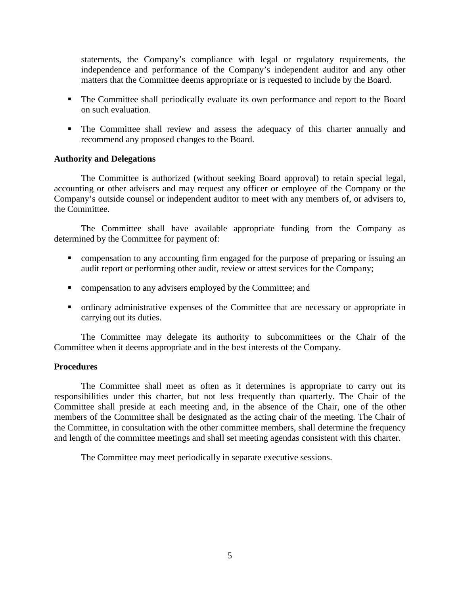statements, the Company's compliance with legal or regulatory requirements, the independence and performance of the Company's independent auditor and any other matters that the Committee deems appropriate or is requested to include by the Board.

- The Committee shall periodically evaluate its own performance and report to the Board on such evaluation.
- The Committee shall review and assess the adequacy of this charter annually and recommend any proposed changes to the Board.

## **Authority and Delegations**

The Committee is authorized (without seeking Board approval) to retain special legal, accounting or other advisers and may request any officer or employee of the Company or the Company's outside counsel or independent auditor to meet with any members of, or advisers to, the Committee.

The Committee shall have available appropriate funding from the Company as determined by the Committee for payment of:

- compensation to any accounting firm engaged for the purpose of preparing or issuing an audit report or performing other audit, review or attest services for the Company;
- **Example 1** compensation to any advisers employed by the Committee; and
- ordinary administrative expenses of the Committee that are necessary or appropriate in carrying out its duties.

The Committee may delegate its authority to subcommittees or the Chair of the Committee when it deems appropriate and in the best interests of the Company.

## **Procedures**

The Committee shall meet as often as it determines is appropriate to carry out its responsibilities under this charter, but not less frequently than quarterly. The Chair of the Committee shall preside at each meeting and, in the absence of the Chair, one of the other members of the Committee shall be designated as the acting chair of the meeting. The Chair of the Committee, in consultation with the other committee members, shall determine the frequency and length of the committee meetings and shall set meeting agendas consistent with this charter.

The Committee may meet periodically in separate executive sessions.